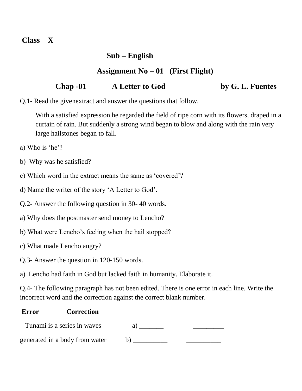**Class – X**

## **Sub – English**

## **Assignment No – 01 (First Flight)**

## **Chap -01 A Letter to God by G. L. Fuentes**

Q.1- Read the givenextract and answer the questions that follow.

With a satisfied expression he regarded the field of ripe corn with its flowers, draped in a curtain of rain. But suddenly a strong wind began to blow and along with the rain very large hailstones began to fall.

- a) Who is 'he'?
- b) Why was he satisfied?
- c) Which word in the extract means the same as 'covered'?
- d) Name the writer of the story 'A Letter to God'.
- Q.2- Answer the following question in 30- 40 words.
- a) Why does the postmaster send money to Lencho?
- b) What were Lencho's feeling when the hail stopped?
- c) What made Lencho angry?
- Q.3- Answer the question in 120-150 words.

a) Lencho had faith in God but lacked faith in humanity. Elaborate it.

Q.4- The following paragraph has not been edited. There is one error in each line. Write the incorrect word and the correction against the correct blank number.

## **Error Correction**

| Tunami is a series in waves    |  |
|--------------------------------|--|
| generated in a body from water |  |